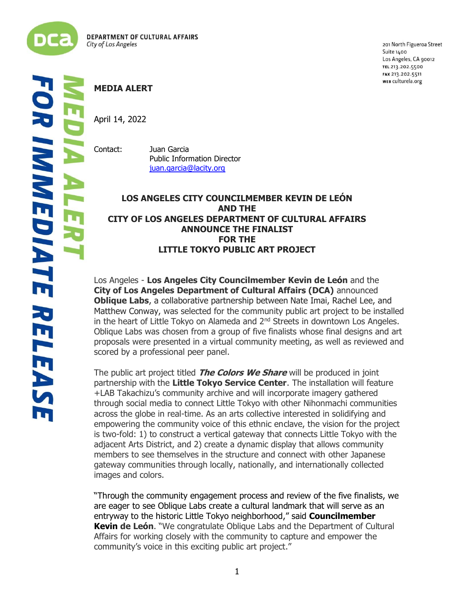

201 North Figueroa Street Suite 1400 Los Angeles, CA 90012 TEL 213.202.5500 FAX 213.202.5511 WEB culturela.org

## **MEDIA ALERT**

April 14, 2022

Contact: Juan Garcia Public Information Director [juan.garcia@lacity.org](mailto:juan.garcia@lacity.org)

## **LOS ANGELES CITY COUNCILMEMBER KEVIN DE LEÓN AND THE CITY OF LOS ANGELES DEPARTMENT OF CULTURAL AFFAIRS ANNOUNCE THE FINALIST FOR THE LITTLE TOKYO PUBLIC ART PROJECT**

Los Angeles - **Los Angeles City Councilmember Kevin de León** and the **City of Los Angeles Department of Cultural Affairs (DCA)** announced **Oblique Labs**, a collaborative partnership between Nate Imai, Rachel Lee, and Matthew Conway, was selected for the community public art project to be installed in the heart of Little Tokyo on Alameda and  $2<sup>nd</sup>$  Streets in downtown Los Angeles. Oblique Labs was chosen from a group of five finalists whose final designs and art proposals were presented in a virtual community meeting, as well as reviewed and scored by a professional peer panel.

The public art project titled **The Colors We Share** will be produced in joint partnership with the **Little Tokyo Service Center**. The installation will feature +LAB Takachizu's community archive and will incorporate imagery gathered through social media to connect Little Tokyo with other Nihonmachi communities across the globe in real-time. As an arts collective interested in solidifying and empowering the community voice of this ethnic enclave, the vision for the project is two-fold: 1) to construct a vertical gateway that connects Little Tokyo with the adjacent Arts District, and 2) create a dynamic display that allows community members to see themselves in the structure and connect with other Japanese gateway communities through locally, nationally, and internationally collected images and colors.

"Through the community engagement process and review of the five finalists, we are eager to see Oblique Labs create a cultural landmark that will serve as an entryway to the historic Little Tokyo neighborhood," said **Councilmember Kevin de León**. "We congratulate Oblique Labs and the Department of Cultural Affairs for working closely with the community to capture and empower the community's voice in this exciting public art project."